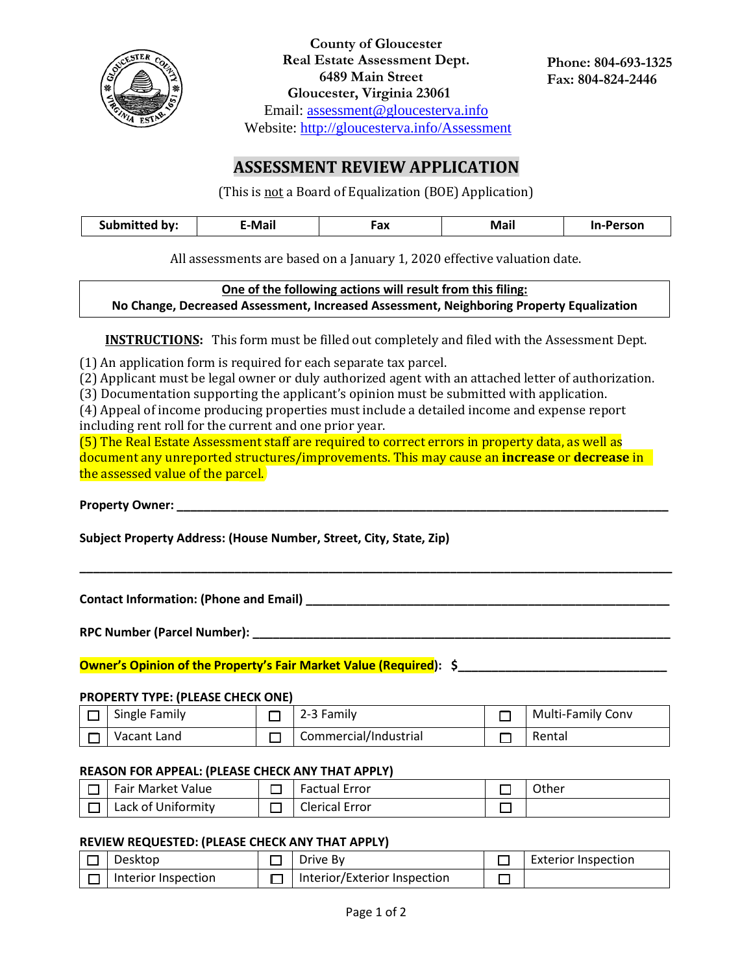

**County of Gloucester Real Estate Assessment Dept. 6489 Main Street Gloucester, Virginia 23061**  Email: [assessment@gloucesterva.info](mailto:assessment@gloucesterva.info)

**Phone: 804-693-1325 Fax: 804-824-2446**

Website:<http://gloucesterva.info/Assessment>

# **ASSESSMENT REVIEW APPLICATION**

(This is not a Board of Equalization (BOE) Application)

|  | bv:<br>sur<br>. | -Mail | Fax | . .<br>. | .Person<br>_____ |
|--|-----------------|-------|-----|----------|------------------|
|--|-----------------|-------|-----|----------|------------------|

All assessments are based on a January 1, 2020 effective valuation date.

## **One of the following actions will result from this filing: No Change, Decreased Assessment, Increased Assessment, Neighboring Property Equalization**

**INSTRUCTIONS:** This form must be filled out completely and filed with the Assessment Dept.

(1) An application form is required for each separate tax parcel.

(2) Applicant must be legal owner or duly authorized agent with an attached letter of authorization.

(3) Documentation supporting the applicant's opinion must be submitted with application.

(4) Appeal of income producing properties must include a detailed income and expense report including rent roll for the current and one prior year.

(5) The Real Estate Assessment staff are required to correct errors in property data, as well as document any unreported structures/improvements. This may cause an **increase** or **decrease** in the assessed value of the parcel.

**Property Owner: \_\_\_\_\_\_\_\_\_\_\_\_\_\_\_\_\_\_\_\_\_\_\_\_\_\_\_\_\_\_\_\_\_\_\_\_\_\_\_\_\_\_\_\_\_\_\_\_\_\_\_\_\_\_\_\_\_\_\_\_\_\_\_\_\_\_\_\_\_\_\_\_\_** 

**Subject Property Address: (House Number, Street, City, State, Zip)**

**Contact Information: (Phone and Email) \_\_\_\_\_\_\_\_\_\_\_\_\_\_\_\_\_\_\_\_\_\_\_\_\_\_\_\_\_\_\_\_\_\_\_\_\_\_\_\_\_\_\_\_\_\_\_\_\_\_\_\_\_\_**

**RPC Number (Parcel Number): \_\_\_\_\_\_\_\_\_\_\_\_\_\_\_\_\_\_\_\_\_\_\_\_\_\_\_\_\_\_\_\_\_\_\_\_\_\_\_\_\_\_\_\_\_\_\_\_\_\_\_\_\_\_\_\_\_\_\_\_\_\_**

**Owner's Opinion of the Property's Fair Market Value (Required): \$\_\_\_\_\_\_\_\_\_\_\_\_\_\_\_\_\_\_\_\_\_\_\_\_\_\_\_\_\_\_\_**

### **PROPERTY TYPE: (PLEASE CHECK ONE)**

| Single Family | 2-3 Family            | <b>Multi-Family Conv</b> |
|---------------|-----------------------|--------------------------|
| Vacant Land   | Commercial/Industrial | Rental                   |

**\_\_\_\_\_\_\_\_\_\_\_\_\_\_\_\_\_\_\_\_\_\_\_\_\_\_\_\_\_\_\_\_\_\_\_\_\_\_\_\_\_\_\_\_\_\_\_\_\_\_\_\_\_\_\_\_\_\_\_\_\_\_\_\_\_\_\_\_\_\_\_\_\_\_\_\_\_\_\_\_\_\_\_\_\_\_\_\_**

### **REASON FOR APPEAL: (PLEASE CHECK ANY THAT APPLY)**

| Fair Market Value  | <b>Factual Error</b>  | Other |
|--------------------|-----------------------|-------|
| Lack of Uniformity | <b>Clerical Error</b> |       |

### **REVIEW REQUESTED: (PLEASE CHECK ANY THAT APPLY)**

| Desktop             | Drive By                     | <b>Exterior Inspection</b> |
|---------------------|------------------------------|----------------------------|
| Interior Inspection | Interior/Exterior Inspection |                            |